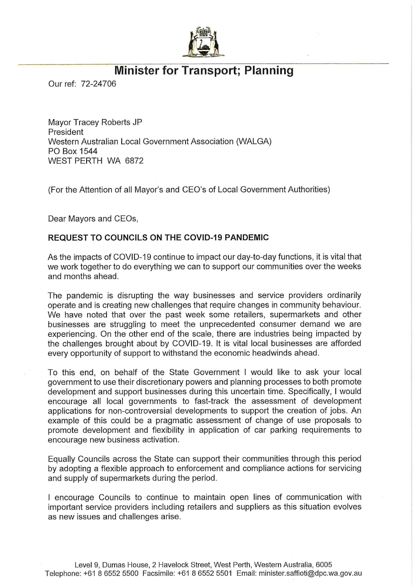

## Minister for Transport; Planning

Our ref: 72-24706

Mayor Tracey Roberts JP President Western Australian Local Government Association (WALGA) PO Box 1544 WEST PERTH WA 6872

(For the Attention of all Mayor's and CEO's of Local Government Authorities)

Dear Mayors and CEOs,

## REQUEST TO COUNCILS ON THE COVID-19 PANDEMIC

As the impacts of COVID-19 continue to impact our day-to-day functions, it is vital that we work together to do everything we can to support our communities over the weeks and months ahead.

The pandemic is disrupting the way businesses and service providers ordinarily operate and is creating new challenges that require changes in community behaviour. We have noted that over the past week some retailers, supermarkets and other businesses are struggling to meet the unprecedented consumer demand we are experiencing. On the other end of the scale, there are industries being impacted by the challenges brought about by COVID-19. It is vital local businesses are afforded every opportunity of support to withstand the economic headwinds ahead.

To this end, on behalf of the State Government I would like to ask your local government to use their discretionary powers and planning processes to both promote development and support businesses during this uncertain time. Specifically, I would encourage all local governments to fast-track the assessment of development applications for non-controversial developments to support the creation of jobs. An example of this could be a pragmatic assessment of change of use proposals to promote development and flexibility in application of car parking requirements to encourage new business activation.

Equally Councils across the State can support their communities through this period by adopting a flexible approach to enforcement and compliance actions for servicing and supply of supermarkets during the period.

I encourage Councils to continue to maintain open lines of communication with important service providers including retailers and suppliers as this situation evolves as new issues and challenges arise.